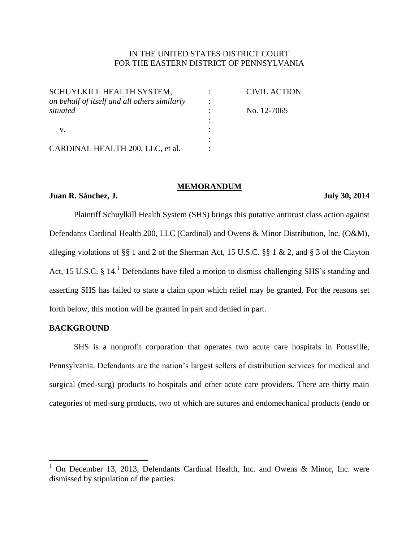# IN THE UNITED STATES DISTRICT COURT FOR THE EASTERN DISTRICT OF PENNSYLVANIA

| SCHUYLKILL HEALTH SYSTEM,                    | <b>CIVIL ACTION</b> |
|----------------------------------------------|---------------------|
| on behalf of itself and all others similarly |                     |
| situated                                     | No. 12-7065         |
|                                              |                     |
|                                              |                     |
|                                              |                     |
| CARDINAL HEALTH 200, LLC, et al.             |                     |

#### **MEMORANDUM**

# **Juan R. Sánchez, J. July 30, 2014**

Plaintiff Schuylkill Health System (SHS) brings this putative antitrust class action against Defendants Cardinal Health 200, LLC (Cardinal) and Owens & Minor Distribution, Inc. (O&M), alleging violations of §§ 1 and 2 of the Sherman Act, 15 U.S.C. §§ 1 & 2, and § 3 of the Clayton Act, 15 U.S.C. § 14.<sup>1</sup> Defendants have filed a motion to dismiss challenging SHS's standing and asserting SHS has failed to state a claim upon which relief may be granted. For the reasons set forth below, this motion will be granted in part and denied in part.

## **BACKGROUND**

 $\overline{a}$ 

SHS is a nonprofit corporation that operates two acute care hospitals in Pottsville, Pennsylvania. Defendants are the nation's largest sellers of distribution services for medical and surgical (med-surg) products to hospitals and other acute care providers. There are thirty main categories of med-surg products, two of which are sutures and endomechanical products (endo or

<sup>&</sup>lt;sup>1</sup> On December 13, 2013, Defendants Cardinal Health, Inc. and Owens & Minor, Inc. were dismissed by stipulation of the parties.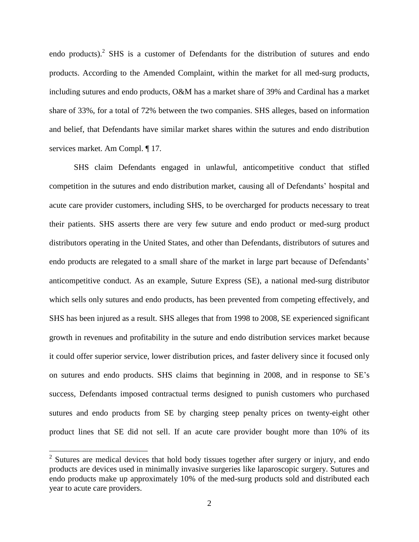endo products).<sup>2</sup> SHS is a customer of Defendants for the distribution of sutures and endo products. According to the Amended Complaint, within the market for all med-surg products, including sutures and endo products, O&M has a market share of 39% and Cardinal has a market share of 33%, for a total of 72% between the two companies. SHS alleges, based on information and belief, that Defendants have similar market shares within the sutures and endo distribution services market. Am Compl. ¶ 17.

SHS claim Defendants engaged in unlawful, anticompetitive conduct that stifled competition in the sutures and endo distribution market, causing all of Defendants' hospital and acute care provider customers, including SHS, to be overcharged for products necessary to treat their patients. SHS asserts there are very few suture and endo product or med-surg product distributors operating in the United States, and other than Defendants, distributors of sutures and endo products are relegated to a small share of the market in large part because of Defendants' anticompetitive conduct. As an example, Suture Express (SE), a national med-surg distributor which sells only sutures and endo products, has been prevented from competing effectively, and SHS has been injured as a result. SHS alleges that from 1998 to 2008, SE experienced significant growth in revenues and profitability in the suture and endo distribution services market because it could offer superior service, lower distribution prices, and faster delivery since it focused only on sutures and endo products. SHS claims that beginning in 2008, and in response to SE's success, Defendants imposed contractual terms designed to punish customers who purchased sutures and endo products from SE by charging steep penalty prices on twenty-eight other product lines that SE did not sell. If an acute care provider bought more than 10% of its

 $2$  Sutures are medical devices that hold body tissues together after surgery or injury, and endo products are devices used in minimally invasive surgeries like laparoscopic surgery. Sutures and endo products make up approximately 10% of the med-surg products sold and distributed each year to acute care providers.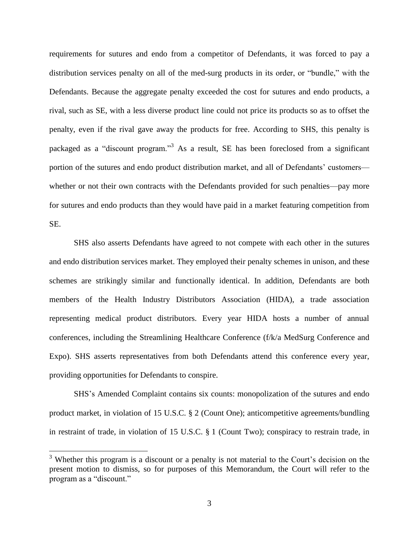requirements for sutures and endo from a competitor of Defendants, it was forced to pay a distribution services penalty on all of the med-surg products in its order, or "bundle," with the Defendants. Because the aggregate penalty exceeded the cost for sutures and endo products, a rival, such as SE, with a less diverse product line could not price its products so as to offset the penalty, even if the rival gave away the products for free. According to SHS, this penalty is packaged as a "discount program."<sup>3</sup> As a result, SE has been foreclosed from a significant portion of the sutures and endo product distribution market, and all of Defendants' customers whether or not their own contracts with the Defendants provided for such penalties—pay more for sutures and endo products than they would have paid in a market featuring competition from SE.

SHS also asserts Defendants have agreed to not compete with each other in the sutures and endo distribution services market. They employed their penalty schemes in unison, and these schemes are strikingly similar and functionally identical. In addition, Defendants are both members of the Health Industry Distributors Association (HIDA), a trade association representing medical product distributors. Every year HIDA hosts a number of annual conferences, including the Streamlining Healthcare Conference (f/k/a MedSurg Conference and Expo). SHS asserts representatives from both Defendants attend this conference every year, providing opportunities for Defendants to conspire.

SHS's Amended Complaint contains six counts: monopolization of the sutures and endo product market, in violation of 15 U.S.C. § 2 (Count One); anticompetitive agreements/bundling in restraint of trade, in violation of 15 U.S.C. § 1 (Count Two); conspiracy to restrain trade, in

 $3$  Whether this program is a discount or a penalty is not material to the Court's decision on the present motion to dismiss, so for purposes of this Memorandum, the Court will refer to the program as a "discount."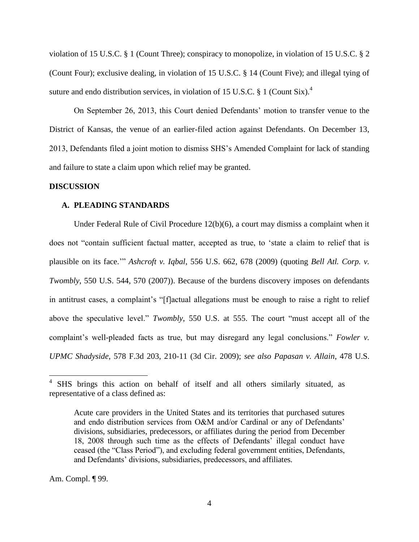violation of 15 U.S.C. § 1 (Count Three); conspiracy to monopolize, in violation of 15 U.S.C. § 2 (Count Four); exclusive dealing, in violation of 15 U.S.C. § 14 (Count Five); and illegal tying of suture and endo distribution services, in violation of 15 U.S.C. § 1 (Count Six).<sup>4</sup>

On September 26, 2013, this Court denied Defendants' motion to transfer venue to the District of Kansas, the venue of an earlier-filed action against Defendants. On December 13, 2013, Defendants filed a joint motion to dismiss SHS's Amended Complaint for lack of standing and failure to state a claim upon which relief may be granted.

#### **DISCUSSION**

#### **A. PLEADING STANDARDS**

Under Federal Rule of Civil Procedure  $12(b)(6)$ , a court may dismiss a complaint when it does not "contain sufficient factual matter, accepted as true, to 'state a claim to relief that is plausible on its face.'" *Ashcroft v. Iqbal*, 556 U.S. 662, 678 (2009) (quoting *Bell Atl. Corp. v. Twombly*, 550 U.S. 544, 570 (2007)). Because of the burdens discovery imposes on defendants in antitrust cases, a complaint's "[f]actual allegations must be enough to raise a right to relief above the speculative level." *Twombly*, 550 U.S. at 555. The court "must accept all of the complaint's well-pleaded facts as true, but may disregard any legal conclusions." *Fowler v. UPMC Shadyside*, 578 F.3d 203, 210-11 (3d Cir. 2009); *see also Papasan v. Allain*, 478 U.S.

Am. Compl. ¶ 99.

<sup>4</sup> SHS brings this action on behalf of itself and all others similarly situated, as representative of a class defined as:

Acute care providers in the United States and its territories that purchased sutures and endo distribution services from O&M and/or Cardinal or any of Defendants' divisions, subsidiaries, predecessors, or affiliates during the period from December 18, 2008 through such time as the effects of Defendants' illegal conduct have ceased (the "Class Period"), and excluding federal government entities, Defendants, and Defendants' divisions, subsidiaries, predecessors, and affiliates.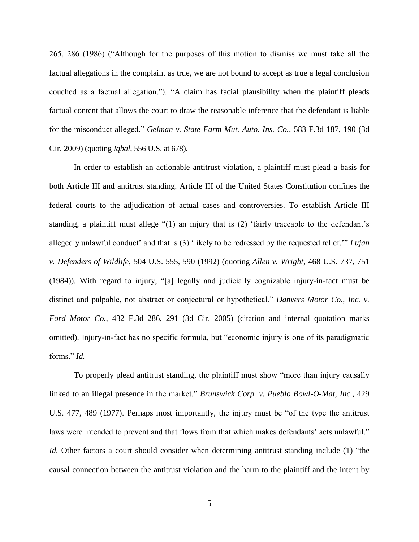265, 286 (1986) ("Although for the purposes of this motion to dismiss we must take all the factual allegations in the complaint as true, we are not bound to accept as true a legal conclusion couched as a factual allegation."). "A claim has facial plausibility when the plaintiff pleads factual content that allows the court to draw the reasonable inference that the defendant is liable for the misconduct alleged." *Gelman v. State Farm Mut. Auto. Ins. Co.*, 583 F.3d 187, 190 (3d Cir. 2009) (quoting *Iqbal*, 556 U.S. at 678).

In order to establish an actionable antitrust violation, a plaintiff must plead a basis for both Article III and antitrust standing. Article III of the United States Constitution confines the federal courts to the adjudication of actual cases and controversies. To establish Article III standing, a plaintiff must allege "(1) an injury that is (2) 'fairly traceable to the defendant's allegedly unlawful conduct' and that is (3) 'likely to be redressed by the requested relief.'" *Lujan v. Defenders of Wildlife*, 504 U.S. 555, 590 (1992) (quoting *Allen v. Wright*, 468 U.S. 737, 751 (1984)). With regard to injury, "[a] legally and judicially cognizable injury-in-fact must be distinct and palpable, not abstract or conjectural or hypothetical." *Danvers Motor Co., Inc. v. Ford Motor Co.*, 432 F.3d 286, 291 (3d Cir. 2005) (citation and internal quotation marks omitted). Injury-in-fact has no specific formula, but "economic injury is one of its paradigmatic forms." *Id.*

To properly plead antitrust standing, the plaintiff must show "more than injury causally linked to an illegal presence in the market." *Brunswick Corp. v. Pueblo Bowl-O-Mat, Inc.*, 429 U.S. 477, 489 (1977). Perhaps most importantly, the injury must be "of the type the antitrust laws were intended to prevent and that flows from that which makes defendants' acts unlawful." *Id.* Other factors a court should consider when determining antitrust standing include (1) "the causal connection between the antitrust violation and the harm to the plaintiff and the intent by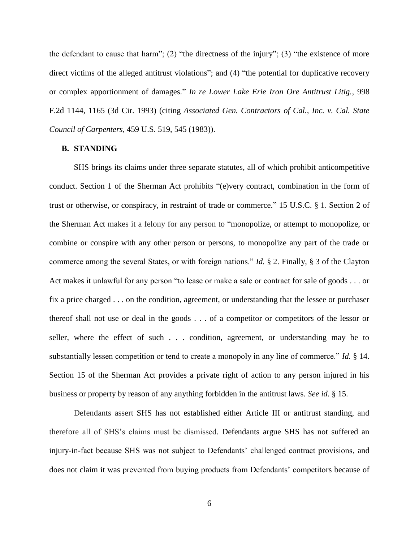the defendant to cause that harm"; (2) "the directness of the injury"; (3) "the existence of more direct victims of the alleged antitrust violations"; and (4) "the potential for duplicative recovery or complex apportionment of damages." *In re Lower Lake Erie Iron Ore Antitrust Litig.*, 998 F.2d 1144, 1165 (3d Cir. 1993) (citing *Associated Gen. Contractors of Cal., Inc. v. Cal. State Council of Carpenters*, 459 U.S. 519, 545 (1983)).

#### **B. STANDING**

SHS brings its claims under three separate statutes, all of which prohibit anticompetitive conduct. Section 1 of the Sherman Act prohibits "(e)very contract, combination in the form of trust or otherwise, or conspiracy, in restraint of trade or commerce." 15 U.S.C. § 1. Section 2 of the Sherman Act makes it a felony for any person to "monopolize, or attempt to monopolize, or combine or conspire with any other person or persons, to monopolize any part of the trade or commerce among the several States, or with foreign nations." *Id.* § 2. Finally, § 3 of the Clayton Act makes it unlawful for any person "to lease or make a sale or contract for sale of goods . . . or fix a price charged . . . on the condition, agreement, or understanding that the lessee or purchaser thereof shall not use or deal in the goods . . . of a competitor or competitors of the lessor or seller, where the effect of such . . . condition, agreement, or understanding may be to substantially lessen competition or tend to create a monopoly in any line of commerce." *Id.* § 14. Section 15 of the Sherman Act provides a private right of action to any person injured in his business or property by reason of any anything forbidden in the antitrust laws. *See id.* § 15.

Defendants assert SHS has not established either Article III or antitrust standing, and therefore all of SHS's claims must be dismissed. Defendants argue SHS has not suffered an injury-in-fact because SHS was not subject to Defendants' challenged contract provisions, and does not claim it was prevented from buying products from Defendants' competitors because of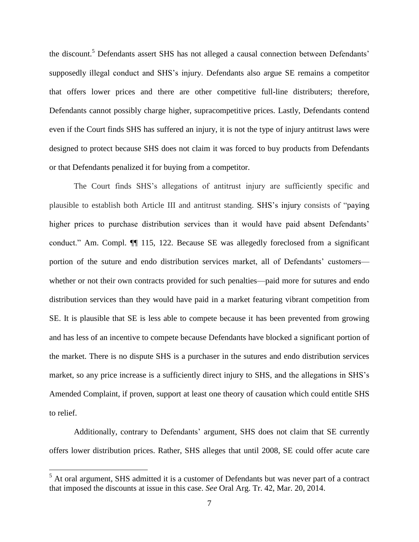the discount.<sup>5</sup> Defendants assert SHS has not alleged a causal connection between Defendants' supposedly illegal conduct and SHS's injury. Defendants also argue SE remains a competitor that offers lower prices and there are other competitive full-line distributers; therefore, Defendants cannot possibly charge higher, supracompetitive prices. Lastly, Defendants contend even if the Court finds SHS has suffered an injury, it is not the type of injury antitrust laws were designed to protect because SHS does not claim it was forced to buy products from Defendants or that Defendants penalized it for buying from a competitor.

The Court finds SHS's allegations of antitrust injury are sufficiently specific and plausible to establish both Article III and antitrust standing. SHS's injury consists of "paying higher prices to purchase distribution services than it would have paid absent Defendants' conduct." Am. Compl. ¶¶ 115, 122. Because SE was allegedly foreclosed from a significant portion of the suture and endo distribution services market, all of Defendants' customers whether or not their own contracts provided for such penalties—paid more for sutures and endo distribution services than they would have paid in a market featuring vibrant competition from SE. It is plausible that SE is less able to compete because it has been prevented from growing and has less of an incentive to compete because Defendants have blocked a significant portion of the market. There is no dispute SHS is a purchaser in the sutures and endo distribution services market, so any price increase is a sufficiently direct injury to SHS, and the allegations in SHS's Amended Complaint, if proven, support at least one theory of causation which could entitle SHS to relief.

Additionally, contrary to Defendants' argument, SHS does not claim that SE currently offers lower distribution prices. Rather, SHS alleges that until 2008, SE could offer acute care

<sup>5</sup> At oral argument, SHS admitted it is a customer of Defendants but was never part of a contract that imposed the discounts at issue in this case. *See* Oral Arg. Tr. 42, Mar. 20, 2014.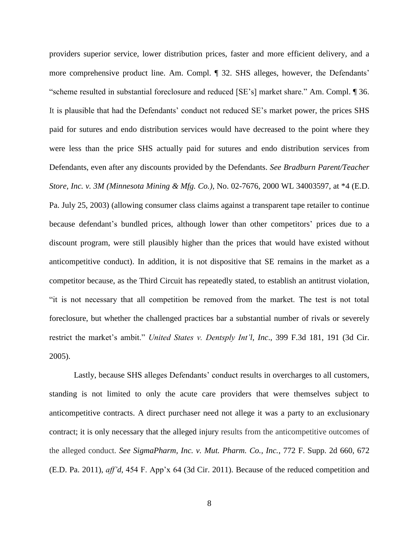providers superior service, lower distribution prices, faster and more efficient delivery, and a more comprehensive product line. Am. Compl. ¶ 32. SHS alleges, however, the Defendants' "scheme resulted in substantial foreclosure and reduced [SE's] market share." Am. Compl. ¶ 36. It is plausible that had the Defendants' conduct not reduced SE's market power, the prices SHS paid for sutures and endo distribution services would have decreased to the point where they were less than the price SHS actually paid for sutures and endo distribution services from Defendants, even after any discounts provided by the Defendants. *See Bradburn Parent/Teacher Store, Inc. v. 3M (Minnesota Mining & Mfg. Co.)*, No. 02-7676, 2000 WL 34003597, at \*4 (E.D. Pa. July 25, 2003) (allowing consumer class claims against a transparent tape retailer to continue because defendant's bundled prices, although lower than other competitors' prices due to a discount program, were still plausibly higher than the prices that would have existed without anticompetitive conduct). In addition, it is not dispositive that SE remains in the market as a competitor because, as the Third Circuit has repeatedly stated, to establish an antitrust violation, "it is not necessary that all competition be removed from the market. The test is not total foreclosure, but whether the challenged practices bar a substantial number of rivals or severely restrict the market's ambit." *United States v. Dentsply Int'l, Inc*., 399 F.3d 181, 191 (3d Cir. 2005).

Lastly, because SHS alleges Defendants' conduct results in overcharges to all customers, standing is not limited to only the acute care providers that were themselves subject to anticompetitive contracts. A direct purchaser need not allege it was a party to an exclusionary contract; it is only necessary that the alleged injury results from the anticompetitive outcomes of the alleged conduct. *See SigmaPharm, Inc. v. Mut. Pharm. Co., Inc.*, 772 F. Supp. 2d 660, 672 (E.D. Pa. 2011), *aff'd*, 454 F. App'x 64 (3d Cir. 2011). Because of the reduced competition and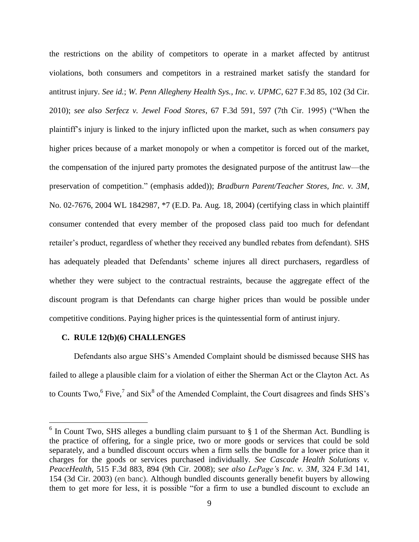the restrictions on the ability of competitors to operate in a market affected by antitrust violations, both consumers and competitors in a restrained market satisfy the standard for antitrust injury. *See id.*; *W. Penn Allegheny Health Sys., Inc. v. UPMC*, 627 F.3d 85, 102 (3d Cir. 2010); *see also Serfecz v. Jewel Food Stores*, 67 F.3d 591, 597 (7th Cir. 1995) ("When the plaintiff's injury is linked to the injury inflicted upon the market, such as when *consumers* pay higher prices because of a market monopoly or when a competitor is forced out of the market, the compensation of the injured party promotes the designated purpose of the antitrust law—the preservation of competition." (emphasis added)); *Bradburn Parent/Teacher Stores, Inc. v. 3M*, No. 02-7676, 2004 WL 1842987, \*7 (E.D. Pa. Aug. 18, 2004) (certifying class in which plaintiff consumer contended that every member of the proposed class paid too much for defendant retailer's product, regardless of whether they received any bundled rebates from defendant). SHS has adequately pleaded that Defendants' scheme injures all direct purchasers, regardless of whether they were subject to the contractual restraints, because the aggregate effect of the discount program is that Defendants can charge higher prices than would be possible under competitive conditions. Paying higher prices is the quintessential form of antirust injury.

### **C. RULE 12(b)(6) CHALLENGES**

 $\overline{a}$ 

Defendants also argue SHS's Amended Complaint should be dismissed because SHS has failed to allege a plausible claim for a violation of either the Sherman Act or the Clayton Act. As to Counts Two,  $6$  Five,  $7$  and Six $8$  of the Amended Complaint, the Court disagrees and finds SHS's

 $6$  In Count Two, SHS alleges a bundling claim pursuant to  $§$  1 of the Sherman Act. Bundling is the practice of offering, for a single price, two or more goods or services that could be sold separately, and a bundled discount occurs when a firm sells the bundle for a lower price than it charges for the goods or services purchased individually. *See Cascade Health Solutions v. PeaceHealth*, 515 F.3d 883, 894 (9th Cir. 2008); s*ee also [LePage's Inc. v. 3M](https://a.next.westlaw.com/Link/Document/FullText?findType=Y&serNum=2003236479&pubNum=506&fi=co_pp_sp_506_154&originationContext=document&transitionType=DocumentItem&contextData=(sc.UserEnteredCitation)#co_pp_sp_506_154)*, 324 F.3d 141, [154 \(3d Cir.](https://a.next.westlaw.com/Link/Document/FullText?findType=Y&serNum=2003236479&pubNum=506&fi=co_pp_sp_506_154&originationContext=document&transitionType=DocumentItem&contextData=(sc.UserEnteredCitation)#co_pp_sp_506_154) 2003) (en banc). Although bundled discounts generally benefit buyers by allowing them to get more for less, it is possible "for a firm to use a bundled discount to exclude an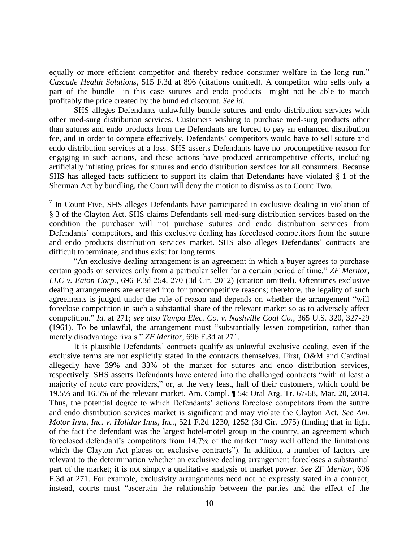equally or more efficient competitor and thereby reduce consumer welfare in the long run." *Cascade Health Solutions*, 515 F.3d at 896 (citations omitted). A competitor who sells only a part of the bundle—in this case sutures and endo products—might not be able to match profitably the price created by the bundled discount. *See id.*

 $\overline{a}$ 

SHS alleges Defendants unlawfully bundle sutures and endo distribution services with other med-surg distribution services. Customers wishing to purchase med-surg products other than sutures and endo products from the Defendants are forced to pay an enhanced distribution fee, and in order to compete effectively, Defendants' competitors would have to sell suture and endo distribution services at a loss. SHS asserts Defendants have no procompetitive reason for engaging in such actions, and these actions have produced anticompetitive effects, including artificially inflating prices for sutures and endo distribution services for all consumers. Because SHS has alleged facts sufficient to support its claim that Defendants have violated § 1 of the Sherman Act by bundling, the Court will deny the motion to dismiss as to Count Two.

 $<sup>7</sup>$  In Count Five, SHS alleges Defendants have participated in exclusive dealing in violation of</sup> § 3 of the Clayton Act. SHS claims Defendants sell med-surg distribution services based on the condition the purchaser will not purchase sutures and endo distribution services from Defendants' competitors, and this exclusive dealing has foreclosed competitors from the suture and endo products distribution services market. SHS also alleges Defendants' contracts are difficult to terminate, and thus exist for long terms.

"An exclusive dealing arrangement is an agreement in which a buyer agrees to purchase certain goods or services only from a particular seller for a certain period of time." *ZF Meritor, LLC v. Eaton Corp.*, 696 F.3d 254, 270 (3d Cir. 2012) (citation omitted). Oftentimes exclusive dealing arrangements are entered into for procompetitive reasons; therefore, the legality of such agreements is judged under the rule of reason and depends on whether the arrangement "will foreclose competition in such a substantial share of the relevant market so as to adversely affect competition." *Id.* at 271; *see also Tampa Elec. Co. v. Nashville Coal Co.*, 365 U.S. 320, 327-29 (1961). To be unlawful, the arrangement must "substantially lessen competition, rather than merely disadvantage rivals." *ZF Meritor*, 696 F.3d at 271.

It is plausible Defendants' contracts qualify as unlawful exclusive dealing, even if the exclusive terms are not explicitly stated in the contracts themselves. First, O&M and Cardinal allegedly have 39% and 33% of the market for sutures and endo distribution services, respectively. SHS asserts Defendants have entered into the challenged contracts "with at least a majority of acute care providers," or, at the very least, half of their customers, which could be 19.5% and 16.5% of the relevant market. Am. Compl. ¶ 54; Oral Arg. Tr. 67-68, Mar. 20, 2014. Thus, the potential degree to which Defendants' actions foreclose competitors from the suture and endo distribution services market is significant and may violate the Clayton Act. *See Am. Motor Inns, Inc. v. Holiday Inns, Inc.*, 521 F.2d 1230, 1252 (3d Cir. 1975) (finding that in light of the fact the defendant was the largest hotel-motel group in the country, an agreement which foreclosed defendant's competitors from 14.7% of the market "may well offend the limitations which the Clayton Act places on exclusive contracts"). In addition, a number of factors are relevant to the determination whether an exclusive dealing arrangement forecloses a substantial part of the market; it is not simply a qualitative analysis of market power. *See ZF Meritor*, 696 F.3d at 271. For example, exclusivity arrangements need not be expressly stated in a contract; instead, courts must "ascertain the relationship between the parties and the effect of the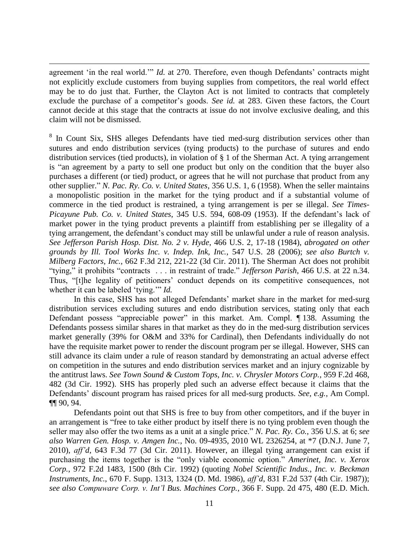agreement 'in the real world.'" *Id.* at 270. Therefore, even though Defendants' contracts might not explicitly exclude customers from buying supplies from competitors, the real world effect may be to do just that. Further, the Clayton Act is not limited to contracts that completely exclude the purchase of a competitor's goods. *See id.* at 283. Given these factors, the Court cannot decide at this stage that the contracts at issue do not involve exclusive dealing, and this claim will not be dismissed.

 $\overline{a}$ 

<sup>8</sup> In Count Six, SHS alleges Defendants have tied med-surg distribution services other than sutures and endo distribution services (tying products) to the purchase of sutures and endo distribution services (tied products), in violation of § 1 of the Sherman Act. A tying arrangement is "an agreement by a party to sell one product but only on the condition that the buyer also purchases a different (or tied) product, or agrees that he will not purchase that product from any other supplier." *N. Pac. Ry. Co. v. United States*, 356 U.S. 1, 6 (1958). When the seller maintains a monopolistic position in the market for the tying product and if a substantial volume of commerce in the tied product is restrained, a tying arrangement is per se illegal. *See Times-Picayune Pub. Co. v. United States*, 345 U.S. 594, 608-09 (1953). If the defendant's lack of market power in the tying product prevents a plaintiff from establishing per se illegality of a tying arrangement, the defendant's conduct may still be unlawful under a rule of reason analysis. *See Jefferson Parish Hosp. Dist. No. 2 v. Hyde*, 466 U.S. 2, 17-18 (1984), *abrogated on other grounds by Ill. Tool Works Inc. v. Indep. Ink, Inc.*, 547 U.S. 28 (2006); *see also Burtch v. Milberg Factors, Inc.*, 662 F.3d 212, 221-22 (3d Cir. 2011). The Sherman Act does not prohibit "tying," it prohibits "contracts . . . in restraint of trade." *Jefferson Parish*, 466 U.S. at 22 n.34. Thus, "[t]he legality of petitioners' conduct depends on its competitive consequences, not whether it can be labeled 'tying.'" *Id.*

In this case, SHS has not alleged Defendants' market share in the market for med-surg distribution services excluding sutures and endo distribution services, stating only that each Defendant possess "appreciable power" in this market. Am. Compl. ¶ 138. Assuming the Defendants possess similar shares in that market as they do in the med-surg distribution services market generally (39% for O&M and 33% for Cardinal), then Defendants individually do not have the requisite market power to render the discount program per se illegal. However, SHS can still advance its claim under a rule of reason standard by demonstrating an actual adverse effect on competition in the sutures and endo distribution services market and an injury cognizable by the antitrust laws. *See Town Sound & Custom Tops, Inc. v. Chrysler Motors Corp.*, 959 F.2d 468, 482 (3d Cir. 1992). SHS has properly pled such an adverse effect because it claims that the Defendants' discount program has raised prices for all med-surg products. *See, e.g.*, Am Compl. ¶¶ 90, 94.

Defendants point out that SHS is free to buy from other competitors, and if the buyer in an arrangement is "free to take either product by itself there is no tying problem even though the seller may also offer the two items as a unit at a single price." *N. Pac. Ry. Co.*, 356 U.S. at 6; *see also Warren Gen. Hosp. v. Amgen Inc.*, No. 09-4935, 2010 WL 2326254, at \*7 (D.N.J. June 7, 2010), *aff'd*, 643 F.3d 77 (3d Cir. 2011). However, an illegal tying arrangement can exist if purchasing the items together is the "only viable economic option." *Amerinet, Inc. v. Xerox Corp.*, 972 F.2d 1483, 1500 (8th Cir. 1992) (quoting *Nobel Scientific Indus., Inc. v. Beckman Instruments, Inc.*, 670 F. Supp. 1313, 1324 (D. Md. 1986), *aff'd*, 831 F.2d 537 (4th Cir. 1987)); *see also Compuware Corp. v. Int'l Bus. Machines Corp.*, 366 F. Supp. 2d 475, 480 (E.D. Mich.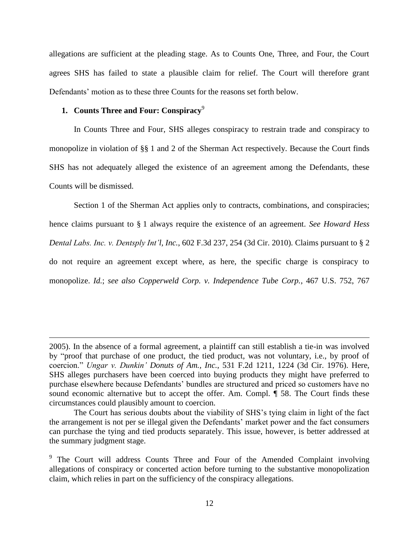allegations are sufficient at the pleading stage. As to Counts One, Three, and Four, the Court agrees SHS has failed to state a plausible claim for relief. The Court will therefore grant Defendants' motion as to these three Counts for the reasons set forth below.

# **1. Counts Three and Four: Conspiracy**<sup>9</sup>

 $\overline{a}$ 

In Counts Three and Four, SHS alleges conspiracy to restrain trade and conspiracy to monopolize in violation of §§ 1 and 2 of the Sherman Act respectively. Because the Court finds SHS has not adequately alleged the existence of an agreement among the Defendants, these Counts will be dismissed.

Section 1 of the Sherman Act applies only to contracts, combinations, and conspiracies; hence claims pursuant to § 1 always require the existence of an agreement. *See Howard Hess Dental Labs. Inc. v. Dentsply Int'l, Inc.*, 602 F.3d 237, 254 (3d Cir. 2010). Claims pursuant to § 2 do not require an agreement except where, as here, the specific charge is conspiracy to monopolize. *Id.*; *see also Copperweld Corp. v. Independence Tube Corp.*, 467 U.S. 752, 767

<sup>2005).</sup> In the absence of a formal agreement, a plaintiff can still establish a tie-in was involved by "proof that purchase of one product, the tied product, was not voluntary, i.e., by proof of coercion." *Ungar v. Dunkin' Donuts of Am., Inc.*, 531 F.2d 1211, 1224 (3d Cir. 1976). Here, SHS alleges purchasers have been coerced into buying products they might have preferred to purchase elsewhere because Defendants' bundles are structured and priced so customers have no sound economic alternative but to accept the offer. Am. Compl.  $\P$  58. The Court finds these circumstances could plausibly amount to coercion.

The Court has serious doubts about the viability of SHS's tying claim in light of the fact the arrangement is not per se illegal given the Defendants' market power and the fact consumers can purchase the tying and tied products separately. This issue, however, is better addressed at the summary judgment stage.

<sup>&</sup>lt;sup>9</sup> The Court will address Counts Three and Four of the Amended Complaint involving allegations of conspiracy or concerted action before turning to the substantive monopolization claim, which relies in part on the sufficiency of the conspiracy allegations.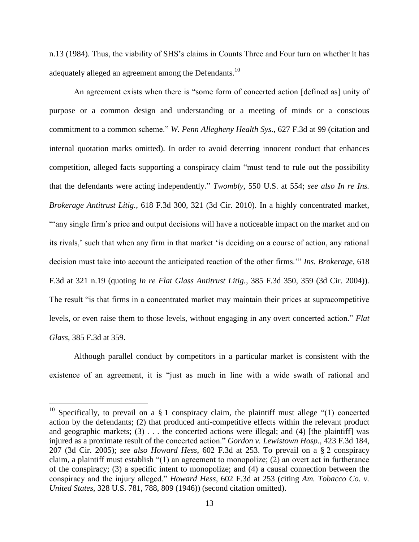n.13 (1984). Thus, the viability of SHS's claims in Counts Three and Four turn on whether it has adequately alleged an agreement among the Defendants.<sup>10</sup>

An agreement exists when there is "some form of concerted action [defined as] unity of purpose or a common design and understanding or a meeting of minds or a conscious commitment to a common scheme." *W. Penn Allegheny Health Sys.*, 627 F.3d at 99 (citation and internal quotation marks omitted). In order to avoid deterring innocent conduct that enhances competition, alleged facts supporting a conspiracy claim "must tend to rule out the possibility that the defendants were acting independently." *Twombly*, 550 U.S. at 554; *see also In re Ins. Brokerage Antitrust Litig.*, 618 F.3d 300, 321 (3d Cir. 2010). In a highly concentrated market, "any single firm's price and output decisions will have a noticeable impact on the market and on its rivals,' such that when any firm in that market 'is deciding on a course of action, any rational decision must take into account the anticipated reaction of the other firms.'" *Ins. Brokerage*, 618 F.3d at 321 n.19 (quoting *In re Flat Glass Antitrust Litig.*, 385 F.3d 350, 359 (3d Cir. 2004)). The result "is that firms in a concentrated market may maintain their prices at supracompetitive levels, or even raise them to those levels, without engaging in any overt concerted action." *Flat Glass*, 385 F.3d at 359.

Although parallel conduct by competitors in a particular market is consistent with the existence of an agreement, it is "just as much in line with a wide swath of rational and

<sup>&</sup>lt;sup>10</sup> Specifically, to prevail on a  $\S$  1 conspiracy claim, the plaintiff must allege "(1) concerted action by the defendants; (2) that produced anti-competitive effects within the relevant product and geographic markets;  $(3)$ ... the concerted actions were illegal; and  $(4)$  [the plaintiff] was injured as a proximate result of the concerted action." *Gordon v. Lewistown Hosp.*, 423 F.3d 184, 207 (3d Cir. 2005); *see also Howard Hess*, 602 F.3d at 253. To prevail on a § 2 conspiracy claim, a plaintiff must establish "(1) an agreement to monopolize; (2) an overt act in furtherance of the conspiracy; (3) a specific intent to monopolize; and (4) a causal connection between the conspiracy and the injury alleged." *Howard Hess*, 602 F.3d at 253 (citing *Am. Tobacco Co. v. United States*, 328 U.S. 781, 788, 809 (1946)) (second citation omitted).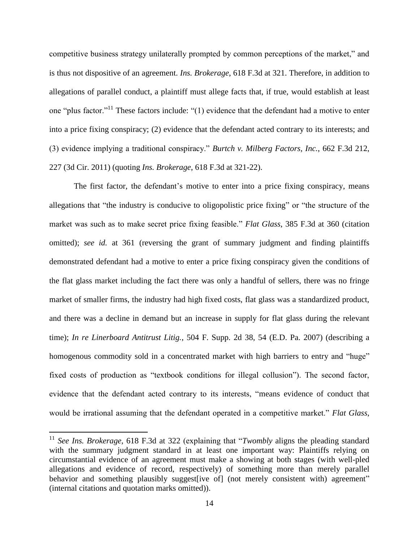competitive business strategy unilaterally prompted by common perceptions of the market," and is thus not dispositive of an agreement. *Ins. Brokerage*, 618 F.3d at 321. Therefore, in addition to allegations of parallel conduct, a plaintiff must allege facts that, if true, would establish at least one "plus factor."<sup>11</sup> These factors include: "(1) evidence that the defendant had a motive to enter into a price fixing conspiracy; (2) evidence that the defendant acted contrary to its interests; and (3) evidence implying a traditional conspiracy." *Burtch v. Milberg Factors, Inc.*, 662 F.3d 212, 227 (3d Cir. 2011) (quoting *Ins. Brokerage*, 618 F.3d at 321-22).

The first factor, the defendant's motive to enter into a price fixing conspiracy, means allegations that "the industry is conducive to oligopolistic price fixing" or "the structure of the market was such as to make secret price fixing feasible." *Flat Glass*, 385 F.3d at 360 (citation omitted); *see id.* at 361 (reversing the grant of summary judgment and finding plaintiffs demonstrated defendant had a motive to enter a price fixing conspiracy given the conditions of the flat glass market including the fact there was only a handful of sellers, there was no fringe market of smaller firms, the industry had high fixed costs, flat glass was a standardized product, and there was a decline in demand but an increase in supply for flat glass during the relevant time); *In re Linerboard Antitrust Litig.*, 504 F. Supp. 2d 38, 54 (E.D. Pa. 2007) (describing a homogenous commodity sold in a concentrated market with high barriers to entry and "huge" fixed costs of production as "textbook conditions for illegal collusion"). The second factor, evidence that the defendant acted contrary to its interests, "means evidence of conduct that would be irrational assuming that the defendant operated in a competitive market." *Flat Glass*,

<sup>11</sup> *See Ins. Brokerage*, 618 F.3d at 322 (explaining that "*Twombly* aligns the pleading standard with the summary judgment standard in at least one important way: Plaintiffs relying on circumstantial evidence of an agreement must make a showing at both stages (with well-pled allegations and evidence of record, respectively) of something more than merely parallel behavior and something plausibly suggest [ive of] (not merely consistent with) agreement" (internal citations and quotation marks omitted)).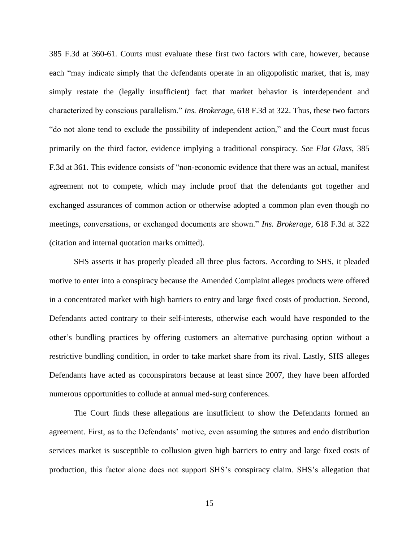385 F.3d at 360-61. Courts must evaluate these first two factors with care, however, because each "may indicate simply that the defendants operate in an oligopolistic market, that is, may simply restate the (legally insufficient) fact that market behavior is interdependent and characterized by conscious parallelism." *Ins. Brokerage*, 618 F.3d at 322. Thus, these two factors "do not alone tend to exclude the possibility of independent action," and the Court must focus primarily on the third factor, evidence implying a traditional conspiracy. *See Flat Glass*, 385 F.3d at 361. This evidence consists of "non-economic evidence that there was an actual, manifest agreement not to compete, which may include proof that the defendants got together and exchanged assurances of common action or otherwise adopted a common plan even though no meetings, conversations, or exchanged documents are shown." *Ins. Brokerage*, 618 F.3d at 322 (citation and internal quotation marks omitted).

SHS asserts it has properly pleaded all three plus factors. According to SHS, it pleaded motive to enter into a conspiracy because the Amended Complaint alleges products were offered in a concentrated market with high barriers to entry and large fixed costs of production. Second, Defendants acted contrary to their self-interests, otherwise each would have responded to the other's bundling practices by offering customers an alternative purchasing option without a restrictive bundling condition, in order to take market share from its rival. Lastly, SHS alleges Defendants have acted as coconspirators because at least since 2007, they have been afforded numerous opportunities to collude at annual med-surg conferences.

The Court finds these allegations are insufficient to show the Defendants formed an agreement. First, as to the Defendants' motive, even assuming the sutures and endo distribution services market is susceptible to collusion given high barriers to entry and large fixed costs of production, this factor alone does not support SHS's conspiracy claim. SHS's allegation that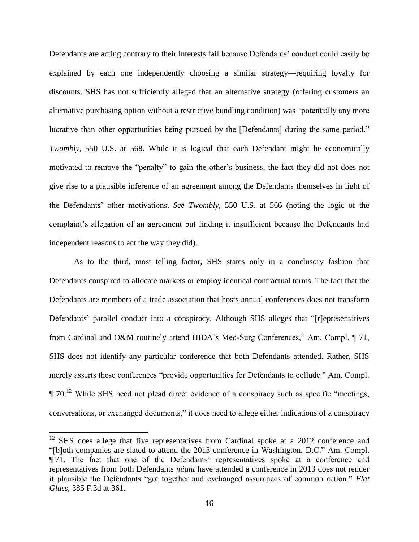Defendants are acting contrary to their interests fail because Defendants' conduct could easily be explained by each one independently choosing a similar strategy—requiring loyalty for discounts. SHS has not sufficiently alleged that an alternative strategy (offering customers an alternative purchasing option without a restrictive bundling condition) was "potentially any more lucrative than other opportunities being pursued by the [Defendants] during the same period." *Twombly*, 550 U.S. at 568. While it is logical that each Defendant might be economically motivated to remove the "penalty" to gain the other's business, the fact they did not does not give rise to a plausible inference of an agreement among the Defendants themselves in light of the Defendants' other motivations. *See Twombly*, 550 U.S. at 566 (noting the logic of the complaint's allegation of an agreement but finding it insufficient because the Defendants had independent reasons to act the way they did).

As to the third, most telling factor, SHS states only in a conclusory fashion that Defendants conspired to allocate markets or employ identical contractual terms. The fact that the Defendants are members of a trade association that hosts annual conferences does not transform Defendants' parallel conduct into a conspiracy. Although SHS alleges that "[r]epresentatives from Cardinal and O&M routinely attend HIDA's Med-Surg Conferences," Am. Compl. ¶ 71, SHS does not identify any particular conference that both Defendants attended. Rather, SHS merely asserts these conferences "provide opportunities for Defendants to collude." Am. Compl.  $\P$  70.<sup>12</sup> While SHS need not plead direct evidence of a conspiracy such as specific "meetings, conversations, or exchanged documents," it does need to allege either indications of a conspiracy

<sup>&</sup>lt;sup>12</sup> SHS does allege that five representatives from Cardinal spoke at a 2012 conference and "[b]oth companies are slated to attend the 2013 conference in Washington, D.C." Am. Compl. ¶ 71. The fact that one of the Defendants' representatives spoke at a conference and representatives from both Defendants *might* have attended a conference in 2013 does not render it plausible the Defendants "got together and exchanged assurances of common action." *Flat Glass*, 385 F.3d at 361.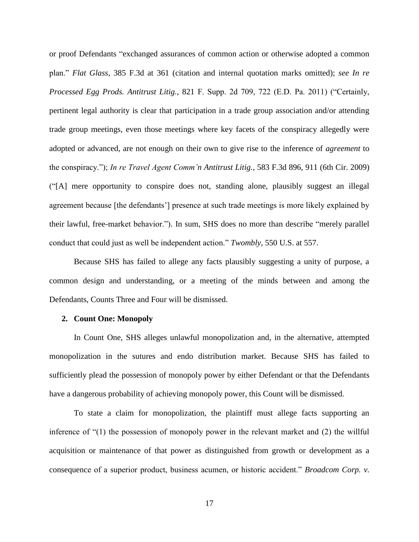or proof Defendants "exchanged assurances of common action or otherwise adopted a common plan." *Flat Glass*, 385 F.3d at 361 (citation and internal quotation marks omitted); *see In re Processed Egg Prods. Antitrust Litig.*, 821 F. Supp. 2d 709, 722 (E.D. Pa. 2011) ("Certainly, pertinent legal authority is clear that participation in a trade group association and/or attending trade group meetings, even those meetings where key facets of the conspiracy allegedly were adopted or advanced, are not enough on their own to give rise to the inference of *agreement* to the conspiracy."); *In re Travel Agent Comm'n Antitrust Litig.*, 583 F.3d 896, 911 (6th Cir. 2009) ("[A] mere opportunity to conspire does not, standing alone, plausibly suggest an illegal agreement because [the defendants'] presence at such trade meetings is more likely explained by their lawful, free-market behavior."). In sum, SHS does no more than describe "merely parallel conduct that could just as well be independent action." *Twombly*, 550 U.S. at 557.

Because SHS has failed to allege any facts plausibly suggesting a unity of purpose, a common design and understanding, or a meeting of the minds between and among the Defendants, Counts Three and Four will be dismissed.

### **2. Count One: Monopoly**

In Count One, SHS alleges unlawful monopolization and, in the alternative, attempted monopolization in the sutures and endo distribution market. Because SHS has failed to sufficiently plead the possession of monopoly power by either Defendant or that the Defendants have a dangerous probability of achieving monopoly power, this Count will be dismissed.

To state a claim for monopolization, the plaintiff must allege facts supporting an inference of "(1) the possession of monopoly power in the relevant market and (2) the willful acquisition or maintenance of that power as distinguished from growth or development as a consequence of a superior product, business acumen, or historic accident." *Broadcom Corp. v.*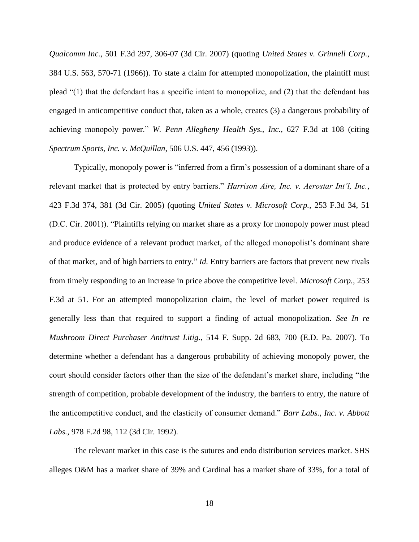*Qualcomm Inc.*, 501 F.3d 297, 306-07 (3d Cir. 2007) (quoting *United States v. Grinnell Corp.*, 384 U.S. 563, 570-71 (1966)). To state a claim for attempted monopolization, the plaintiff must plead "(1) that the defendant has a specific intent to monopolize, and (2) that the defendant has engaged in anticompetitive conduct that, taken as a whole, creates (3) a dangerous probability of achieving monopoly power." *W. Penn Allegheny Health Sys., Inc.*, 627 F.3d at 108 (citing *Spectrum Sports, Inc. v. McQuillan*, 506 U.S. 447, 456 (1993)).

Typically, monopoly power is "inferred from a firm's possession of a dominant share of a relevant market that is protected by entry barriers." *Harrison Aire, Inc. v. Aerostar Int'l, Inc.*, 423 F.3d 374, 381 (3d Cir. 2005) (quoting *United States v. Microsoft Corp.*, 253 F.3d 34, 51 (D.C. Cir. 2001)). "Plaintiffs relying on market share as a proxy for monopoly power must plead and produce evidence of a relevant product market, of the alleged monopolist's dominant share of that market, and of high barriers to entry." *Id.* Entry barriers are factors that prevent new rivals from timely responding to an increase in price above the competitive level. *Microsoft Corp.*, 253 F.3d at 51. For an attempted monopolization claim, the level of market power required is generally less than that required to support a finding of actual monopolization. *See In re Mushroom Direct Purchaser Antitrust Litig.*, 514 F. Supp. 2d 683, 700 (E.D. Pa. 2007). To determine whether a defendant has a dangerous probability of achieving monopoly power, the court should consider factors other than the size of the defendant's market share, including "the strength of competition, probable development of the industry, the barriers to entry, the nature of the anticompetitive conduct, and the elasticity of consumer demand." *Barr Labs., Inc. v. Abbott Labs.*, 978 F.2d 98, 112 (3d Cir. 1992).

The relevant market in this case is the sutures and endo distribution services market. SHS alleges O&M has a market share of 39% and Cardinal has a market share of 33%, for a total of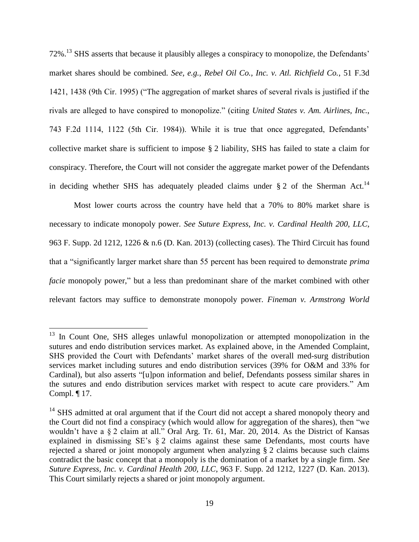72%.<sup>13</sup> SHS asserts that because it plausibly alleges a conspiracy to monopolize, the Defendants' market shares should be combined. *See, e.g.*, *Rebel Oil Co., Inc. v. Atl. Richfield Co.*, 51 F.3d 1421, 1438 (9th Cir. 1995) ("The aggregation of market shares of several rivals is justified if the rivals are alleged to have conspired to monopolize." (citing *United States v. Am. Airlines, Inc.*, 743 F.2d 1114, 1122 (5th Cir. 1984)). While it is true that once aggregated, Defendants' collective market share is sufficient to impose § 2 liability, SHS has failed to state a claim for conspiracy. Therefore, the Court will not consider the aggregate market power of the Defendants in deciding whether SHS has adequately pleaded claims under  $\S 2$  of the Sherman Act.<sup>14</sup>

Most lower courts across the country have held that a 70% to 80% market share is necessary to indicate monopoly power. *See Suture Express, Inc. v. Cardinal Health 200, LLC*, 963 F. Supp. 2d 1212, 1226 & n.6 (D. Kan. 2013) (collecting cases). The Third Circuit has found that a "significantly larger market share than 55 percent has been required to demonstrate *prima facie* monopoly power," but a less than predominant share of the market combined with other relevant factors may suffice to demonstrate monopoly power. *Fineman v. Armstrong World* 

<sup>&</sup>lt;sup>13</sup> In Count One, SHS alleges unlawful monopolization or attempted monopolization in the sutures and endo distribution services market. As explained above, in the Amended Complaint, SHS provided the Court with Defendants' market shares of the overall med-surg distribution services market including sutures and endo distribution services (39% for O&M and 33% for Cardinal), but also asserts "[u]pon information and belief, Defendants possess similar shares in the sutures and endo distribution services market with respect to acute care providers." Am Compl. ¶ 17.

 $14$  SHS admitted at oral argument that if the Court did not accept a shared monopoly theory and the Court did not find a conspiracy (which would allow for aggregation of the shares), then "we wouldn't have a § 2 claim at all." Oral Arg. Tr. 61, Mar. 20, 2014. As the District of Kansas explained in dismissing SE's § 2 claims against these same Defendants, most courts have rejected a shared or joint monopoly argument when analyzing § 2 claims because such claims contradict the basic concept that a monopoly is the domination of a market by a single firm. *See Suture Express, Inc. v. Cardinal Health 200, LLC*, 963 F. Supp. 2d 1212, 1227 (D. Kan. 2013). This Court similarly rejects a shared or joint monopoly argument.